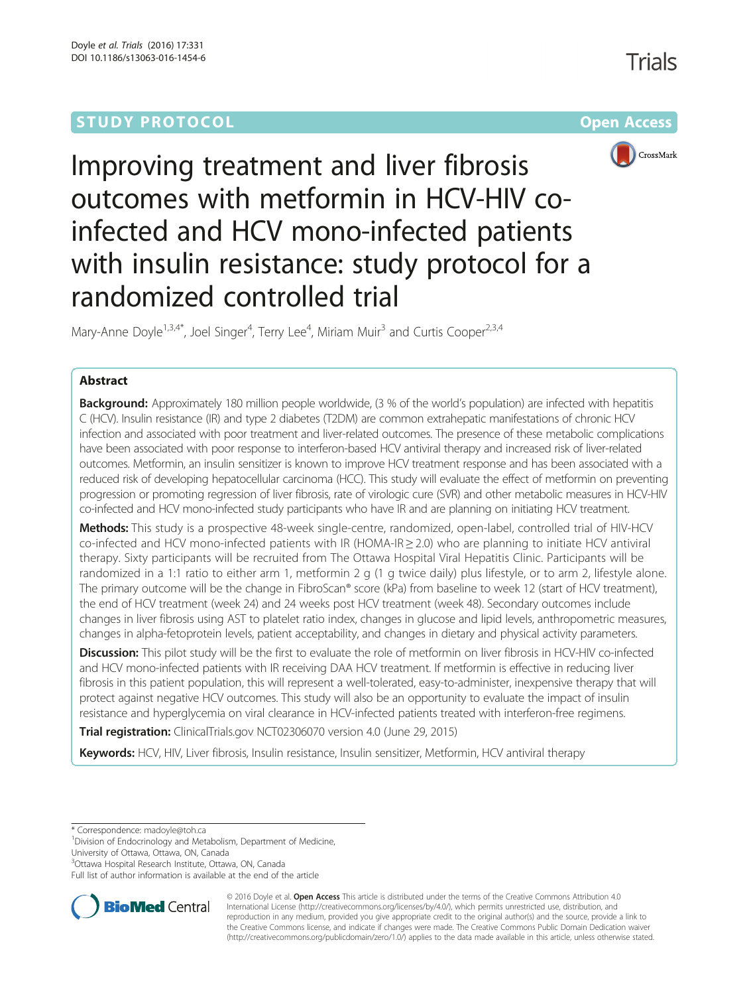# **STUDY PROTOCOL CONSUMING THE RESERVE ACCESS**





# Improving treatment and liver fibrosis outcomes with metformin in HCV-HIV coinfected and HCV mono-infected patients with insulin resistance: study protocol for a randomized controlled trial

Mary-Anne Doyle<sup>1,3,4\*</sup>, Joel Singer<sup>4</sup>, Terry Lee<sup>4</sup>, Miriam Muir<sup>3</sup> and Curtis Cooper<sup>2,3,4</sup>

# Abstract

Background: Approximately 180 million people worldwide, (3 % of the world's population) are infected with hepatitis C (HCV). Insulin resistance (IR) and type 2 diabetes (T2DM) are common extrahepatic manifestations of chronic HCV infection and associated with poor treatment and liver-related outcomes. The presence of these metabolic complications have been associated with poor response to interferon-based HCV antiviral therapy and increased risk of liver-related outcomes. Metformin, an insulin sensitizer is known to improve HCV treatment response and has been associated with a reduced risk of developing hepatocellular carcinoma (HCC). This study will evaluate the effect of metformin on preventing progression or promoting regression of liver fibrosis, rate of virologic cure (SVR) and other metabolic measures in HCV-HIV co-infected and HCV mono-infected study participants who have IR and are planning on initiating HCV treatment.

Methods: This study is a prospective 48-week single-centre, randomized, open-label, controlled trial of HIV-HCV co-infected and HCV mono-infected patients with IR (HOMA-IR ≥ 2.0) who are planning to initiate HCV antiviral therapy. Sixty participants will be recruited from The Ottawa Hospital Viral Hepatitis Clinic. Participants will be randomized in a 1:1 ratio to either arm 1, metformin 2 g (1 g twice daily) plus lifestyle, or to arm 2, lifestyle alone. The primary outcome will be the change in FibroScan® score (kPa) from baseline to week 12 (start of HCV treatment), the end of HCV treatment (week 24) and 24 weeks post HCV treatment (week 48). Secondary outcomes include changes in liver fibrosis using AST to platelet ratio index, changes in glucose and lipid levels, anthropometric measures, changes in alpha-fetoprotein levels, patient acceptability, and changes in dietary and physical activity parameters.

Discussion: This pilot study will be the first to evaluate the role of metformin on liver fibrosis in HCV-HIV co-infected and HCV mono-infected patients with IR receiving DAA HCV treatment. If metformin is effective in reducing liver fibrosis in this patient population, this will represent a well-tolerated, easy-to-administer, inexpensive therapy that will protect against negative HCV outcomes. This study will also be an opportunity to evaluate the impact of insulin resistance and hyperglycemia on viral clearance in HCV-infected patients treated with interferon-free regimens.

**Trial registration:** ClinicalTrials.gov [NCT02306070](https://clinicaltrials.gov/ct2/show/NCT02306070) version 4.0 (June 29, 2015)

Keywords: HCV, HIV, Liver fibrosis, Insulin resistance, Insulin sensitizer, Metformin, HCV antiviral therapy

\* Correspondence: [madoyle@toh.ca](mailto:madoyle@toh.ca) <sup>1</sup>

<sup>1</sup> Division of Endocrinology and Metabolism, Department of Medicine, University of Ottawa, Ottawa, ON, Canada

3 Ottawa Hospital Research Institute, Ottawa, ON, Canada

Full list of author information is available at the end of the article



© 2016 Doyle et al. Open Access This article is distributed under the terms of the Creative Commons Attribution 4.0 International License [\(http://creativecommons.org/licenses/by/4.0/](http://creativecommons.org/licenses/by/4.0/)), which permits unrestricted use, distribution, and reproduction in any medium, provided you give appropriate credit to the original author(s) and the source, provide a link to the Creative Commons license, and indicate if changes were made. The Creative Commons Public Domain Dedication waiver [\(http://creativecommons.org/publicdomain/zero/1.0/](http://creativecommons.org/publicdomain/zero/1.0/)) applies to the data made available in this article, unless otherwise stated.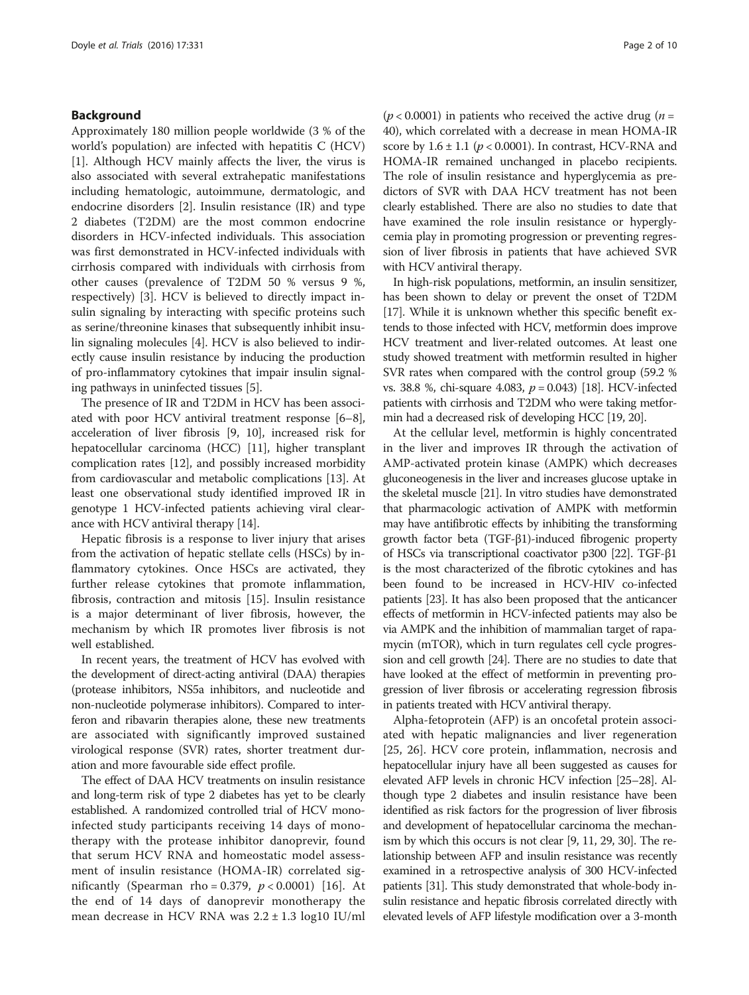#### Background

Approximately 180 million people worldwide (3 % of the world's population) are infected with hepatitis C (HCV) [[1\]](#page-8-0). Although HCV mainly affects the liver, the virus is also associated with several extrahepatic manifestations including hematologic, autoimmune, dermatologic, and endocrine disorders [\[2](#page-8-0)]. Insulin resistance (IR) and type 2 diabetes (T2DM) are the most common endocrine disorders in HCV-infected individuals. This association was first demonstrated in HCV-infected individuals with cirrhosis compared with individuals with cirrhosis from other causes (prevalence of T2DM 50 % versus 9 %, respectively) [\[3](#page-8-0)]. HCV is believed to directly impact insulin signaling by interacting with specific proteins such as serine/threonine kinases that subsequently inhibit insulin signaling molecules [\[4](#page-8-0)]. HCV is also believed to indirectly cause insulin resistance by inducing the production of pro-inflammatory cytokines that impair insulin signaling pathways in uninfected tissues [[5](#page-8-0)].

The presence of IR and T2DM in HCV has been associated with poor HCV antiviral treatment response [[6](#page-8-0)–[8](#page-8-0)], acceleration of liver fibrosis [\[9](#page-8-0), [10](#page-8-0)], increased risk for hepatocellular carcinoma (HCC) [[11](#page-8-0)], higher transplant complication rates [\[12\]](#page-8-0), and possibly increased morbidity from cardiovascular and metabolic complications [\[13](#page-8-0)]. At least one observational study identified improved IR in genotype 1 HCV-infected patients achieving viral clearance with HCV antiviral therapy [[14](#page-8-0)].

Hepatic fibrosis is a response to liver injury that arises from the activation of hepatic stellate cells (HSCs) by inflammatory cytokines. Once HSCs are activated, they further release cytokines that promote inflammation, fibrosis, contraction and mitosis [[15\]](#page-8-0). Insulin resistance is a major determinant of liver fibrosis, however, the mechanism by which IR promotes liver fibrosis is not well established.

In recent years, the treatment of HCV has evolved with the development of direct-acting antiviral (DAA) therapies (protease inhibitors, NS5a inhibitors, and nucleotide and non-nucleotide polymerase inhibitors). Compared to interferon and ribavarin therapies alone, these new treatments are associated with significantly improved sustained virological response (SVR) rates, shorter treatment duration and more favourable side effect profile.

The effect of DAA HCV treatments on insulin resistance and long-term risk of type 2 diabetes has yet to be clearly established. A randomized controlled trial of HCV monoinfected study participants receiving 14 days of monotherapy with the protease inhibitor danoprevir, found that serum HCV RNA and homeostatic model assessment of insulin resistance (HOMA-IR) correlated significantly (Spearman rho = 0.379,  $p < 0.0001$ ) [\[16](#page-9-0)]. At the end of 14 days of danoprevir monotherapy the mean decrease in HCV RNA was  $2.2 \pm 1.3$  log10 IU/ml

 $(p < 0.0001)$  in patients who received the active drug  $(n = 1)$ 40), which correlated with a decrease in mean HOMA-IR score by  $1.6 \pm 1.1$  ( $p < 0.0001$ ). In contrast, HCV-RNA and HOMA-IR remained unchanged in placebo recipients. The role of insulin resistance and hyperglycemia as predictors of SVR with DAA HCV treatment has not been clearly established. There are also no studies to date that have examined the role insulin resistance or hyperglycemia play in promoting progression or preventing regression of liver fibrosis in patients that have achieved SVR with HCV antiviral therapy.

In high-risk populations, metformin, an insulin sensitizer, has been shown to delay or prevent the onset of T2DM [[17](#page-9-0)]. While it is unknown whether this specific benefit extends to those infected with HCV, metformin does improve HCV treatment and liver-related outcomes. At least one study showed treatment with metformin resulted in higher SVR rates when compared with the control group (59.2 % vs. 38.8 %, chi-square 4.083, p = 0.043) [[18](#page-9-0)]. HCV-infected patients with cirrhosis and T2DM who were taking metformin had a decreased risk of developing HCC [[19](#page-9-0), [20](#page-9-0)].

At the cellular level, metformin is highly concentrated in the liver and improves IR through the activation of AMP-activated protein kinase (AMPK) which decreases gluconeogenesis in the liver and increases glucose uptake in the skeletal muscle [[21](#page-9-0)]. In vitro studies have demonstrated that pharmacologic activation of AMPK with metformin may have antifibrotic effects by inhibiting the transforming growth factor beta (TGF-β1)-induced fibrogenic property of HSCs via transcriptional coactivator p300 [\[22](#page-9-0)]. TGF-β1 is the most characterized of the fibrotic cytokines and has been found to be increased in HCV-HIV co-infected patients [[23](#page-9-0)]. It has also been proposed that the anticancer effects of metformin in HCV-infected patients may also be via AMPK and the inhibition of mammalian target of rapamycin (mTOR), which in turn regulates cell cycle progression and cell growth [\[24\]](#page-9-0). There are no studies to date that have looked at the effect of metformin in preventing progression of liver fibrosis or accelerating regression fibrosis in patients treated with HCV antiviral therapy.

Alpha-fetoprotein (AFP) is an oncofetal protein associated with hepatic malignancies and liver regeneration [[25, 26\]](#page-9-0). HCV core protein, inflammation, necrosis and hepatocellular injury have all been suggested as causes for elevated AFP levels in chronic HCV infection [\[25](#page-9-0)–[28\]](#page-9-0). Although type 2 diabetes and insulin resistance have been identified as risk factors for the progression of liver fibrosis and development of hepatocellular carcinoma the mechanism by which this occurs is not clear [[9, 11,](#page-8-0) [29, 30](#page-9-0)]. The relationship between AFP and insulin resistance was recently examined in a retrospective analysis of 300 HCV-infected patients [\[31\]](#page-9-0). This study demonstrated that whole-body insulin resistance and hepatic fibrosis correlated directly with elevated levels of AFP lifestyle modification over a 3-month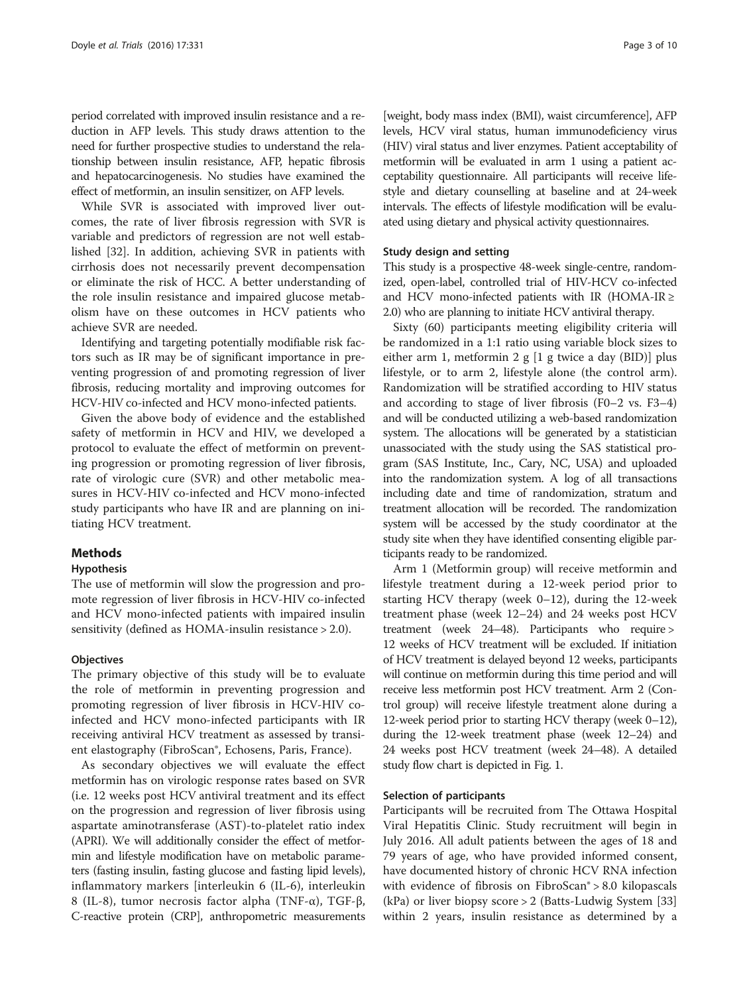period correlated with improved insulin resistance and a reduction in AFP levels. This study draws attention to the need for further prospective studies to understand the relationship between insulin resistance, AFP, hepatic fibrosis and hepatocarcinogenesis. No studies have examined the effect of metformin, an insulin sensitizer, on AFP levels.

While SVR is associated with improved liver outcomes, the rate of liver fibrosis regression with SVR is variable and predictors of regression are not well established [[32\]](#page-9-0). In addition, achieving SVR in patients with cirrhosis does not necessarily prevent decompensation or eliminate the risk of HCC. A better understanding of the role insulin resistance and impaired glucose metabolism have on these outcomes in HCV patients who achieve SVR are needed.

Identifying and targeting potentially modifiable risk factors such as IR may be of significant importance in preventing progression of and promoting regression of liver fibrosis, reducing mortality and improving outcomes for HCV-HIV co-infected and HCV mono-infected patients.

Given the above body of evidence and the established safety of metformin in HCV and HIV, we developed a protocol to evaluate the effect of metformin on preventing progression or promoting regression of liver fibrosis, rate of virologic cure (SVR) and other metabolic measures in HCV-HIV co-infected and HCV mono-infected study participants who have IR and are planning on initiating HCV treatment.

#### Methods

#### Hypothesis

The use of metformin will slow the progression and promote regression of liver fibrosis in HCV-HIV co-infected and HCV mono-infected patients with impaired insulin sensitivity (defined as HOMA-insulin resistance > 2.0).

#### **Objectives**

The primary objective of this study will be to evaluate the role of metformin in preventing progression and promoting regression of liver fibrosis in HCV-HIV coinfected and HCV mono-infected participants with IR receiving antiviral HCV treatment as assessed by transient elastography (FibroScan®, Echosens, Paris, France).

As secondary objectives we will evaluate the effect metformin has on virologic response rates based on SVR (i.e. 12 weeks post HCV antiviral treatment and its effect on the progression and regression of liver fibrosis using aspartate aminotransferase (AST)-to-platelet ratio index (APRI). We will additionally consider the effect of metformin and lifestyle modification have on metabolic parameters (fasting insulin, fasting glucose and fasting lipid levels), inflammatory markers [interleukin 6 (IL-6), interleukin 8 (IL-8), tumor necrosis factor alpha (TNF-α), TGF-β, C-reactive protein (CRP], anthropometric measurements

[weight, body mass index (BMI), waist circumference], AFP levels, HCV viral status, human immunodeficiency virus (HIV) viral status and liver enzymes. Patient acceptability of metformin will be evaluated in arm 1 using a patient acceptability questionnaire. All participants will receive lifestyle and dietary counselling at baseline and at 24-week intervals. The effects of lifestyle modification will be evaluated using dietary and physical activity questionnaires.

#### Study design and setting

This study is a prospective 48-week single-centre, randomized, open-label, controlled trial of HIV-HCV co-infected and HCV mono-infected patients with IR (HOMA-IR  $\ge$ 2.0) who are planning to initiate HCV antiviral therapy.

Sixty (60) participants meeting eligibility criteria will be randomized in a 1:1 ratio using variable block sizes to either arm 1, metformin 2 g  $[1 \text{ g}$  twice a day (BID)] plus lifestyle, or to arm 2, lifestyle alone (the control arm). Randomization will be stratified according to HIV status and according to stage of liver fibrosis (F0–2 vs. F3–4) and will be conducted utilizing a web-based randomization system. The allocations will be generated by a statistician unassociated with the study using the SAS statistical program (SAS Institute, Inc., Cary, NC, USA) and uploaded into the randomization system. A log of all transactions including date and time of randomization, stratum and treatment allocation will be recorded. The randomization system will be accessed by the study coordinator at the study site when they have identified consenting eligible participants ready to be randomized.

Arm 1 (Metformin group) will receive metformin and lifestyle treatment during a 12-week period prior to starting HCV therapy (week 0–12), during the 12-week treatment phase (week 12–24) and 24 weeks post HCV treatment (week 24–48). Participants who require > 12 weeks of HCV treatment will be excluded. If initiation of HCV treatment is delayed beyond 12 weeks, participants will continue on metformin during this time period and will receive less metformin post HCV treatment. Arm 2 (Control group) will receive lifestyle treatment alone during a 12-week period prior to starting HCV therapy (week 0–12), during the 12-week treatment phase (week 12–24) and 24 weeks post HCV treatment (week 24–48). A detailed study flow chart is depicted in Fig. [1.](#page-3-0)

#### Selection of participants

Participants will be recruited from The Ottawa Hospital Viral Hepatitis Clinic. Study recruitment will begin in July 2016. All adult patients between the ages of 18 and 79 years of age, who have provided informed consent, have documented history of chronic HCV RNA infection with evidence of fibrosis on FibroScan® > 8.0 kilopascals (kPa) or liver biopsy score > 2 (Batts-Ludwig System [[33](#page-9-0)] within 2 years, insulin resistance as determined by a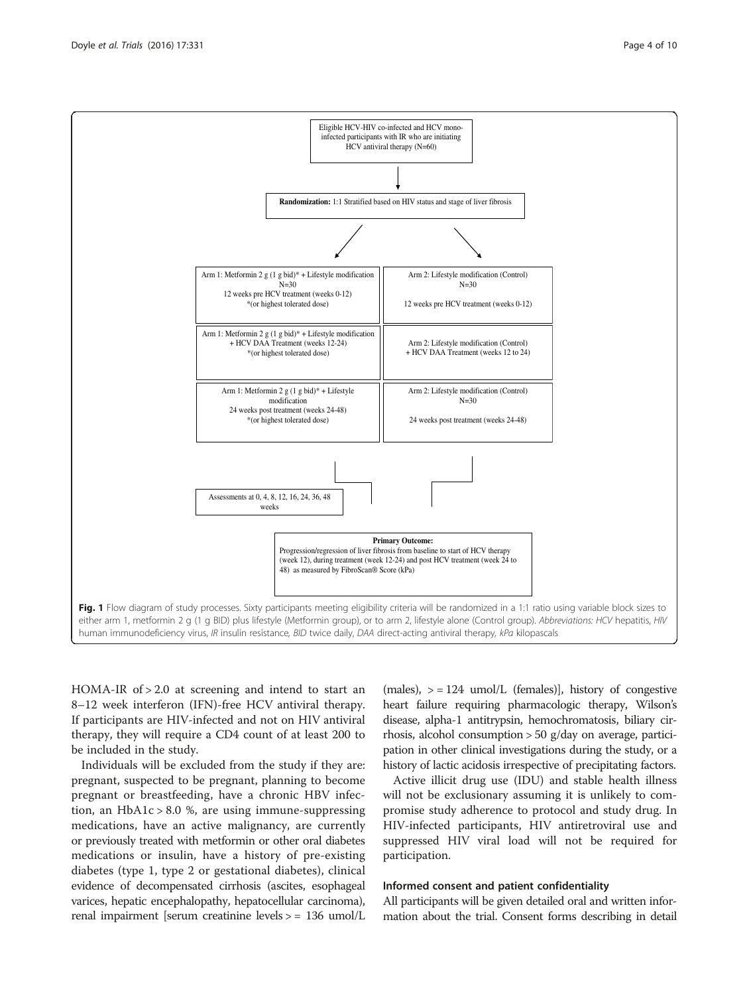<span id="page-3-0"></span>

HOMA-IR of > 2.0 at screening and intend to start an 8–12 week interferon (IFN)-free HCV antiviral therapy. If participants are HIV-infected and not on HIV antiviral therapy, they will require a CD4 count of at least 200 to be included in the study.

Individuals will be excluded from the study if they are: pregnant, suspected to be pregnant, planning to become pregnant or breastfeeding, have a chronic HBV infection, an HbA1c > 8.0 %, are using immune-suppressing medications, have an active malignancy, are currently or previously treated with metformin or other oral diabetes medications or insulin, have a history of pre-existing diabetes (type 1, type 2 or gestational diabetes), clinical evidence of decompensated cirrhosis (ascites, esophageal varices, hepatic encephalopathy, hepatocellular carcinoma), renal impairment [serum creatinine levels > = 136 umol/L

 $(males)$ ,  $> = 124$  umol/L (females), history of congestive heart failure requiring pharmacologic therapy, Wilson's disease, alpha-1 antitrypsin, hemochromatosis, biliary cirrhosis, alcohol consumption > 50 g/day on average, participation in other clinical investigations during the study, or a history of lactic acidosis irrespective of precipitating factors.

Active illicit drug use (IDU) and stable health illness will not be exclusionary assuming it is unlikely to compromise study adherence to protocol and study drug. In HIV-infected participants, HIV antiretroviral use and suppressed HIV viral load will not be required for participation.

## Informed consent and patient confidentiality

All participants will be given detailed oral and written information about the trial. Consent forms describing in detail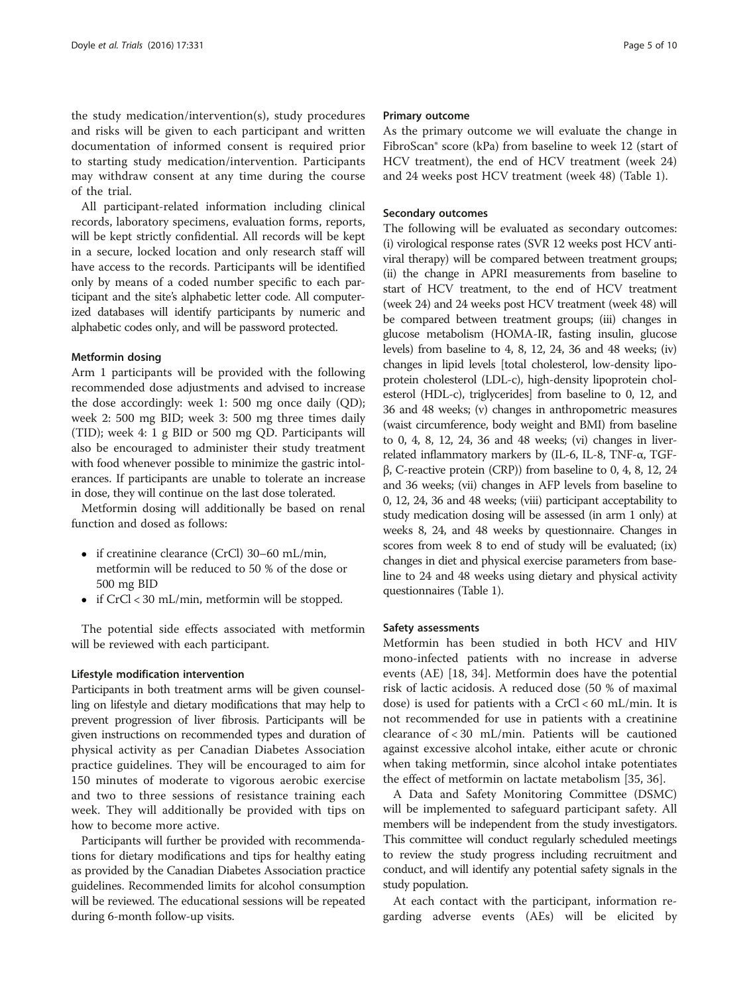the study medication/intervention(s), study procedures and risks will be given to each participant and written documentation of informed consent is required prior to starting study medication/intervention. Participants may withdraw consent at any time during the course of the trial.

All participant-related information including clinical records, laboratory specimens, evaluation forms, reports, will be kept strictly confidential. All records will be kept in a secure, locked location and only research staff will have access to the records. Participants will be identified only by means of a coded number specific to each participant and the site's alphabetic letter code. All computerized databases will identify participants by numeric and alphabetic codes only, and will be password protected.

#### Metformin dosing

Arm 1 participants will be provided with the following recommended dose adjustments and advised to increase the dose accordingly: week 1: 500 mg once daily (QD); week 2: 500 mg BID; week 3: 500 mg three times daily (TID); week 4: 1 g BID or 500 mg QD. Participants will also be encouraged to administer their study treatment with food whenever possible to minimize the gastric intolerances. If participants are unable to tolerate an increase in dose, they will continue on the last dose tolerated.

Metformin dosing will additionally be based on renal function and dosed as follows:

- if creatinine clearance (CrCl) 30–60 mL/min, metformin will be reduced to 50 % of the dose or 500 mg BID
- if  $CrCl < 30$  mL/min, metformin will be stopped.

The potential side effects associated with metformin will be reviewed with each participant.

#### Lifestyle modification intervention

Participants in both treatment arms will be given counselling on lifestyle and dietary modifications that may help to prevent progression of liver fibrosis. Participants will be given instructions on recommended types and duration of physical activity as per Canadian Diabetes Association practice guidelines. They will be encouraged to aim for 150 minutes of moderate to vigorous aerobic exercise and two to three sessions of resistance training each week. They will additionally be provided with tips on how to become more active.

Participants will further be provided with recommendations for dietary modifications and tips for healthy eating as provided by the Canadian Diabetes Association practice guidelines. Recommended limits for alcohol consumption will be reviewed. The educational sessions will be repeated during 6-month follow-up visits.

#### Primary outcome

As the primary outcome we will evaluate the change in FibroScan® score (kPa) from baseline to week 12 (start of HCV treatment), the end of HCV treatment (week 24) and 24 weeks post HCV treatment (week 48) (Table [1\)](#page-5-0).

#### Secondary outcomes

The following will be evaluated as secondary outcomes: (i) virological response rates (SVR 12 weeks post HCV antiviral therapy) will be compared between treatment groups; (ii) the change in APRI measurements from baseline to start of HCV treatment, to the end of HCV treatment (week 24) and 24 weeks post HCV treatment (week 48) will be compared between treatment groups; (iii) changes in glucose metabolism (HOMA-IR, fasting insulin, glucose levels) from baseline to 4, 8, 12, 24, 36 and 48 weeks; (iv) changes in lipid levels [total cholesterol, low-density lipoprotein cholesterol (LDL-c), high-density lipoprotein cholesterol (HDL-c), triglycerides] from baseline to 0, 12, and 36 and 48 weeks; (v) changes in anthropometric measures (waist circumference, body weight and BMI) from baseline to 0, 4, 8, 12, 24, 36 and 48 weeks; (vi) changes in liverrelated inflammatory markers by (IL-6, IL-8, TNF-α, TGFβ, C-reactive protein (CRP)) from baseline to 0, 4, 8, 12, 24 and 36 weeks; (vii) changes in AFP levels from baseline to 0, 12, 24, 36 and 48 weeks; (viii) participant acceptability to study medication dosing will be assessed (in arm 1 only) at weeks 8, 24, and 48 weeks by questionnaire. Changes in scores from week 8 to end of study will be evaluated; (ix) changes in diet and physical exercise parameters from baseline to 24 and 48 weeks using dietary and physical activity questionnaires (Table [1](#page-5-0)).

#### Safety assessments

Metformin has been studied in both HCV and HIV mono-infected patients with no increase in adverse events (AE) [[18, 34](#page-9-0)]. Metformin does have the potential risk of lactic acidosis. A reduced dose (50 % of maximal dose) is used for patients with a  $CrCl < 60$  mL/min. It is not recommended for use in patients with a creatinine clearance of < 30 mL/min. Patients will be cautioned against excessive alcohol intake, either acute or chronic when taking metformin, since alcohol intake potentiates the effect of metformin on lactate metabolism [[35](#page-9-0), [36](#page-9-0)].

A Data and Safety Monitoring Committee (DSMC) will be implemented to safeguard participant safety. All members will be independent from the study investigators. This committee will conduct regularly scheduled meetings to review the study progress including recruitment and conduct, and will identify any potential safety signals in the study population.

At each contact with the participant, information regarding adverse events (AEs) will be elicited by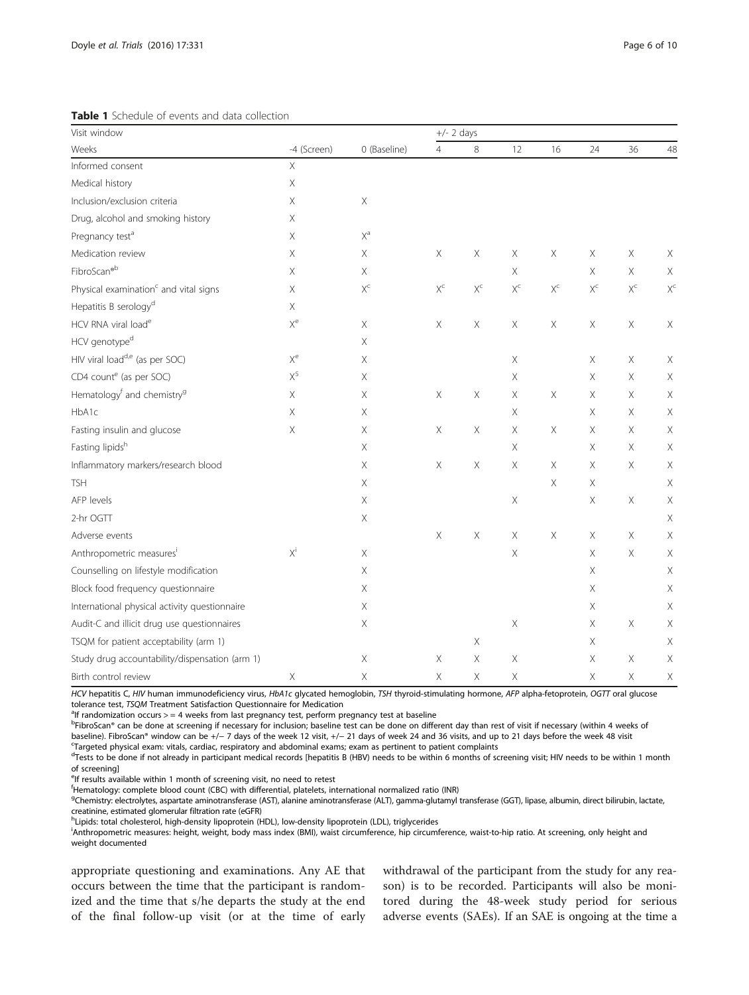<span id="page-5-0"></span>

| Visit window                                       |                           |                         | $+/- 2$ days            |                         |                         |                         |                         |                         |                           |
|----------------------------------------------------|---------------------------|-------------------------|-------------------------|-------------------------|-------------------------|-------------------------|-------------------------|-------------------------|---------------------------|
| Weeks                                              | -4 (Screen)               | 0 (Baseline)            | $\overline{4}$          | 8                       | 12                      | 16                      | 24                      | 36                      | 48                        |
| Informed consent                                   | $\times$                  |                         |                         |                         |                         |                         |                         |                         |                           |
| Medical history                                    | $\boldsymbol{\mathsf{X}}$ |                         |                         |                         |                         |                         |                         |                         |                           |
| Inclusion/exclusion criteria                       | Χ                         | $\mathsf X$             |                         |                         |                         |                         |                         |                         |                           |
| Drug, alcohol and smoking history                  | Χ                         |                         |                         |                         |                         |                         |                         |                         |                           |
| Pregnancy test <sup>a</sup>                        | X                         | $\mathsf{X}^\text{a}$   |                         |                         |                         |                         |                         |                         |                           |
| Medication review                                  | Χ                         | Χ                       | $\mathsf X$             | $\mathsf X$             | $\times$                | Χ                       | Χ                       | X                       | Χ                         |
| FibroScan®b                                        | $\boldsymbol{\mathsf{X}}$ | $\times$                |                         |                         | Χ                       |                         | $\mathsf X$             | X                       | $\mathsf X$               |
| Physical examination <sup>c</sup> and vital signs  | $\times$                  | $\mathsf{X}^\mathsf{c}$ | $\mathsf{X}^\mathsf{c}$ | $\mathsf{X}^\mathsf{c}$ | $\mathsf{X}^\mathsf{c}$ | $\mathsf{X}^\mathsf{c}$ | $\mathsf{X}^\mathsf{c}$ | $\mathsf{X}^\mathsf{c}$ | $\mathsf{X}^\mathsf{c}$   |
| Hepatitis B serology <sup>d</sup>                  | Χ                         |                         |                         |                         |                         |                         |                         |                         |                           |
| HCV RNA viral load <sup>e</sup>                    | $\mathsf{X}^{\mathrm{e}}$ | Χ                       | $\mathsf X$             | $\mathsf X$             | X                       | Χ                       | Χ                       | X                       | Χ                         |
| HCV genotype <sup>d</sup>                          |                           | $\mathsf X$             |                         |                         |                         |                         |                         |                         |                           |
| HIV viral load <sup>d,e</sup> (as per SOC)         | $\mathsf{X}^{\mathrm{e}}$ | Χ                       |                         |                         | $\times$                |                         | $\times$                | X                       | Χ                         |
| CD4 count <sup>e</sup> (as per SOC)                | $\mathsf{X}^5$            | Χ                       |                         |                         | Χ                       |                         | X                       | $\times$                | $\mathsf X$               |
| Hematology <sup>f</sup> and chemistry <sup>9</sup> | $\boldsymbol{\mathsf{X}}$ | $\mathsf X$             | $\mathsf X$             | $\mathsf X$             | Χ                       | Χ                       | Χ                       | X.                      | $\boldsymbol{\mathsf{X}}$ |
| HbA1c                                              | $\boldsymbol{\mathsf{X}}$ | Χ                       |                         |                         | Χ                       |                         | $\mathsf X$             | Χ                       | $\boldsymbol{\times}$     |
| Fasting insulin and glucose                        | $\boldsymbol{\mathsf{X}}$ | $\mathsf X$             | $\mathsf X$             | $\mathsf X$             | Χ                       | Χ                       | $\times$                | $\times$                | $\mathsf X$               |
| Fasting lipidsh                                    |                           | Χ                       |                         |                         | Χ                       |                         | Χ                       | Χ                       | $\boldsymbol{\times}$     |
| Inflammatory markers/research blood                |                           | X                       | $\mathsf X$             | $\mathsf X$             | X                       | Χ                       | X                       | X                       | $\boldsymbol{\times}$     |
| <b>TSH</b>                                         |                           | Χ                       |                         |                         |                         | $\times$                | $\times$                |                         | $\mathsf X$               |
| AFP levels                                         |                           | $\mathsf X$             |                         |                         | Χ                       |                         | Χ                       | X                       | $\mathsf X$               |
| 2-hr OGTT                                          |                           | Χ                       |                         |                         |                         |                         |                         |                         | $\boldsymbol{\mathsf{X}}$ |
| Adverse events                                     |                           |                         | $\mathsf X$             | $\mathsf X$             | Χ                       | Χ                       | Χ                       | $\times$                | Χ                         |
| Anthropometric measuresi                           | $\mathsf{X}^{\mathsf{i}}$ | $\mathsf X$             |                         |                         | Χ                       |                         | Χ                       | $\times$                | $\boldsymbol{\times}$     |
| Counselling on lifestyle modification              |                           | X                       |                         |                         |                         |                         | Χ                       |                         | $\boldsymbol{\times}$     |
| Block food frequency questionnaire                 |                           | Χ                       |                         |                         |                         |                         | Χ                       |                         | $\mathsf X$               |
| International physical activity questionnaire      |                           | $\mathsf X$             |                         |                         |                         |                         | Χ                       |                         | Χ                         |
| Audit-C and illicit drug use questionnaires        |                           | $\mathsf X$             |                         |                         | Χ                       |                         | Χ                       | $\times$                | $\boldsymbol{\times}$     |
| TSQM for patient acceptability (arm 1)             |                           |                         |                         | $\mathsf X$             |                         |                         | Χ                       |                         | $\boldsymbol{\times}$     |
| Study drug accountability/dispensation (arm 1)     |                           | Χ                       | $\mathsf X$             | $\mathsf X$             | Χ                       |                         | Χ                       | Χ                       | Χ                         |
| Birth control review                               | $\boldsymbol{\times}$     | Χ                       | X                       | $\mathsf X$             | X                       |                         | X                       | Χ                       | $\mathsf X$               |

HCV hepatitis C, HIV human immunodeficiency virus, HbA1c glycated hemoglobin, TSH thyroid-stimulating hormone, AFP alpha-fetoprotein, OGTT oral glucose tolerance test, TSQM Treatment Satisfaction Questionnaire for Medication <sup>a</sup>

 $a$ <sup>a</sup>lf randomization occurs  $>$  = 4 weeks from last pregnancy test, perform pregnancy test at baseline

b<br>PibroScan® can be done at screening if necessary for inclusion; baseline test can be done on different day than rest of visit if necessary (within 4 weeks of baseline). FibroScan® window can be +/- 7 days of the week 12 visit, +/- 21 days of week 24 and 36 visits, and up to 21 days before the week 48 visit Targeted physical exam: vitals, cardiac, respiratory and abdominal exams; exam as pertinent to patient complaints

<sup>d</sup> Tests to be done if not already in participant medical records [hepatitis B (HBV) needs to be within 6 months of screening visit; HIV needs to be within 1 month of screening]

<sup>e</sup>lf results available within 1 month of screening visit, no need to retest

f Hematology: complete blood count (CBC) with differential, platelets, international normalized ratio (INR)

<sup>g</sup>Chemistry: electrolytes, aspartate aminotransferase (AST), alanine aminotransferase (ALT), gamma-glutamyl transferase (GGT), lipase, albumin, direct bilirubin, lactate, creatinine, estimated glomerular filtration rate (eGFR)

hLipids: total cholesterol, high-density lipoprotein (HDL), low-density lipoprotein (LDL), triglycerides

i Anthropometric measures: height, weight, body mass index (BMI), waist circumference, hip circumference, waist-to-hip ratio. At screening, only height and weight documented

appropriate questioning and examinations. Any AE that occurs between the time that the participant is randomized and the time that s/he departs the study at the end of the final follow-up visit (or at the time of early withdrawal of the participant from the study for any reason) is to be recorded. Participants will also be monitored during the 48-week study period for serious adverse events (SAEs). If an SAE is ongoing at the time a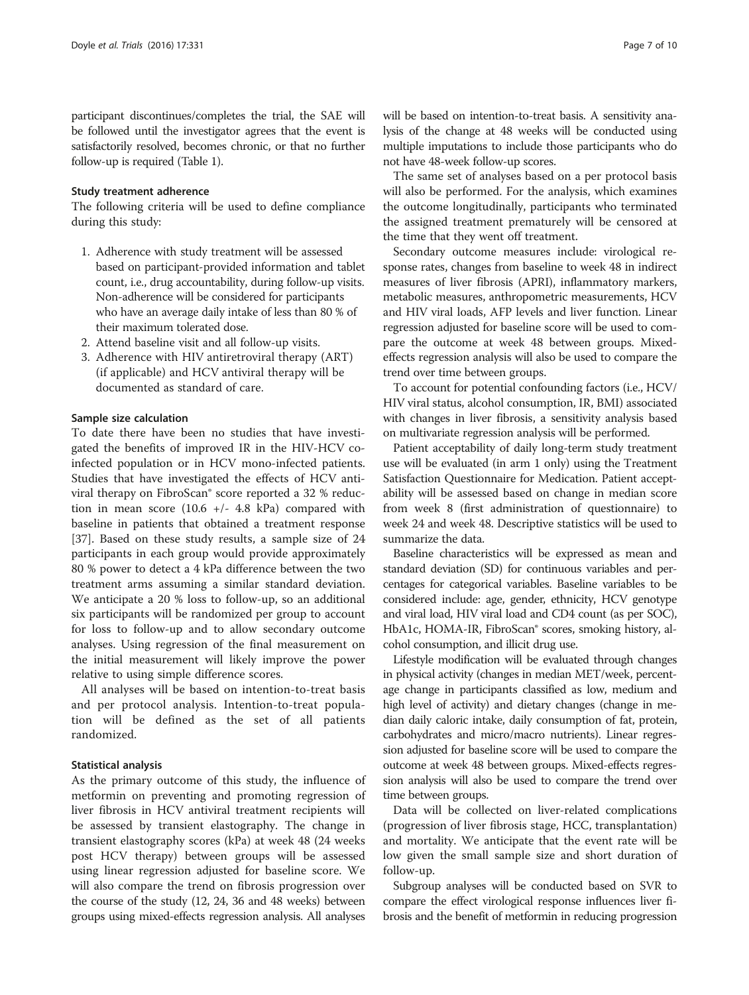participant discontinues/completes the trial, the SAE will be followed until the investigator agrees that the event is satisfactorily resolved, becomes chronic, or that no further follow-up is required (Table [1\)](#page-5-0).

#### Study treatment adherence

The following criteria will be used to define compliance during this study:

- 1. Adherence with study treatment will be assessed based on participant-provided information and tablet count, i.e., drug accountability, during follow-up visits. Non-adherence will be considered for participants who have an average daily intake of less than 80 % of their maximum tolerated dose.
- 2. Attend baseline visit and all follow-up visits.
- 3. Adherence with HIV antiretroviral therapy (ART) (if applicable) and HCV antiviral therapy will be documented as standard of care.

#### Sample size calculation

To date there have been no studies that have investigated the benefits of improved IR in the HIV-HCV coinfected population or in HCV mono-infected patients. Studies that have investigated the effects of HCV antiviral therapy on FibroScan® score reported a 32 % reduction in mean score  $(10.6 +/- 4.8 \text{ kPa})$  compared with baseline in patients that obtained a treatment response [[37\]](#page-9-0). Based on these study results, a sample size of 24 participants in each group would provide approximately 80 % power to detect a 4 kPa difference between the two treatment arms assuming a similar standard deviation. We anticipate a 20 % loss to follow-up, so an additional six participants will be randomized per group to account for loss to follow-up and to allow secondary outcome analyses. Using regression of the final measurement on the initial measurement will likely improve the power relative to using simple difference scores.

All analyses will be based on intention-to-treat basis and per protocol analysis. Intention-to-treat population will be defined as the set of all patients randomized.

#### Statistical analysis

As the primary outcome of this study, the influence of metformin on preventing and promoting regression of liver fibrosis in HCV antiviral treatment recipients will be assessed by transient elastography. The change in transient elastography scores (kPa) at week 48 (24 weeks post HCV therapy) between groups will be assessed using linear regression adjusted for baseline score. We will also compare the trend on fibrosis progression over the course of the study (12, 24, 36 and 48 weeks) between groups using mixed-effects regression analysis. All analyses

will be based on intention-to-treat basis. A sensitivity analysis of the change at 48 weeks will be conducted using multiple imputations to include those participants who do not have 48-week follow-up scores.

The same set of analyses based on a per protocol basis will also be performed. For the analysis, which examines the outcome longitudinally, participants who terminated the assigned treatment prematurely will be censored at the time that they went off treatment.

Secondary outcome measures include: virological response rates, changes from baseline to week 48 in indirect measures of liver fibrosis (APRI), inflammatory markers, metabolic measures, anthropometric measurements, HCV and HIV viral loads, AFP levels and liver function. Linear regression adjusted for baseline score will be used to compare the outcome at week 48 between groups. Mixedeffects regression analysis will also be used to compare the trend over time between groups.

To account for potential confounding factors (i.e., HCV/ HIV viral status, alcohol consumption, IR, BMI) associated with changes in liver fibrosis, a sensitivity analysis based on multivariate regression analysis will be performed.

Patient acceptability of daily long-term study treatment use will be evaluated (in arm 1 only) using the Treatment Satisfaction Questionnaire for Medication. Patient acceptability will be assessed based on change in median score from week 8 (first administration of questionnaire) to week 24 and week 48. Descriptive statistics will be used to summarize the data.

Baseline characteristics will be expressed as mean and standard deviation (SD) for continuous variables and percentages for categorical variables. Baseline variables to be considered include: age, gender, ethnicity, HCV genotype and viral load, HIV viral load and CD4 count (as per SOC), HbA1c, HOMA-IR, FibroScan® scores, smoking history, alcohol consumption, and illicit drug use.

Lifestyle modification will be evaluated through changes in physical activity (changes in median MET/week, percentage change in participants classified as low, medium and high level of activity) and dietary changes (change in median daily caloric intake, daily consumption of fat, protein, carbohydrates and micro/macro nutrients). Linear regression adjusted for baseline score will be used to compare the outcome at week 48 between groups. Mixed-effects regression analysis will also be used to compare the trend over time between groups.

Data will be collected on liver-related complications (progression of liver fibrosis stage, HCC, transplantation) and mortality. We anticipate that the event rate will be low given the small sample size and short duration of follow-up.

Subgroup analyses will be conducted based on SVR to compare the effect virological response influences liver fibrosis and the benefit of metformin in reducing progression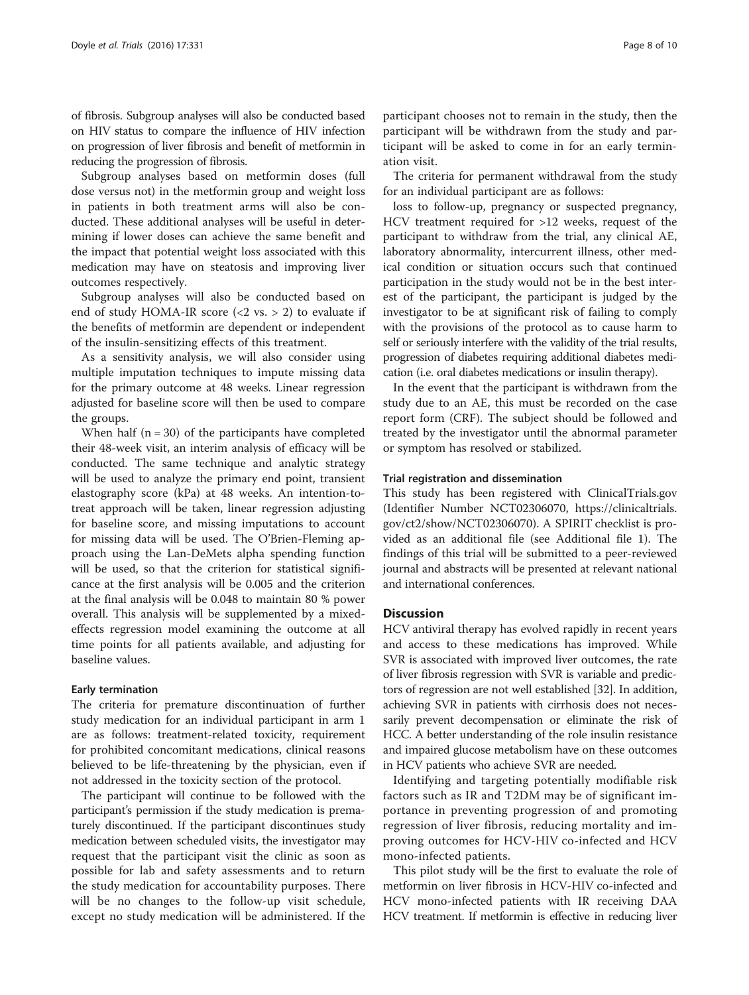of fibrosis. Subgroup analyses will also be conducted based on HIV status to compare the influence of HIV infection on progression of liver fibrosis and benefit of metformin in reducing the progression of fibrosis.

Subgroup analyses based on metformin doses (full dose versus not) in the metformin group and weight loss in patients in both treatment arms will also be conducted. These additional analyses will be useful in determining if lower doses can achieve the same benefit and the impact that potential weight loss associated with this medication may have on steatosis and improving liver outcomes respectively.

Subgroup analyses will also be conducted based on end of study HOMA-IR score  $(<2$  vs. > 2) to evaluate if the benefits of metformin are dependent or independent of the insulin-sensitizing effects of this treatment.

As a sensitivity analysis, we will also consider using multiple imputation techniques to impute missing data for the primary outcome at 48 weeks. Linear regression adjusted for baseline score will then be used to compare the groups.

When half  $(n = 30)$  of the participants have completed their 48-week visit, an interim analysis of efficacy will be conducted. The same technique and analytic strategy will be used to analyze the primary end point, transient elastography score (kPa) at 48 weeks. An intention-totreat approach will be taken, linear regression adjusting for baseline score, and missing imputations to account for missing data will be used. The O'Brien-Fleming approach using the Lan-DeMets alpha spending function will be used, so that the criterion for statistical significance at the first analysis will be 0.005 and the criterion at the final analysis will be 0.048 to maintain 80 % power overall. This analysis will be supplemented by a mixedeffects regression model examining the outcome at all time points for all patients available, and adjusting for baseline values.

#### Early termination

The criteria for premature discontinuation of further study medication for an individual participant in arm 1 are as follows: treatment-related toxicity, requirement for prohibited concomitant medications, clinical reasons believed to be life-threatening by the physician, even if not addressed in the toxicity section of the protocol.

The participant will continue to be followed with the participant's permission if the study medication is prematurely discontinued. If the participant discontinues study medication between scheduled visits, the investigator may request that the participant visit the clinic as soon as possible for lab and safety assessments and to return the study medication for accountability purposes. There will be no changes to the follow-up visit schedule, except no study medication will be administered. If the

participant chooses not to remain in the study, then the participant will be withdrawn from the study and participant will be asked to come in for an early termination visit.

The criteria for permanent withdrawal from the study for an individual participant are as follows:

loss to follow-up, pregnancy or suspected pregnancy, HCV treatment required for >12 weeks, request of the participant to withdraw from the trial, any clinical AE, laboratory abnormality, intercurrent illness, other medical condition or situation occurs such that continued participation in the study would not be in the best interest of the participant, the participant is judged by the investigator to be at significant risk of failing to comply with the provisions of the protocol as to cause harm to self or seriously interfere with the validity of the trial results, progression of diabetes requiring additional diabetes medication (i.e. oral diabetes medications or insulin therapy).

In the event that the participant is withdrawn from the study due to an AE, this must be recorded on the case report form (CRF). The subject should be followed and treated by the investigator until the abnormal parameter or symptom has resolved or stabilized.

#### Trial registration and dissemination

This study has been registered with ClinicalTrials.gov (Identifier Number NCT02306070, [https://clinicaltrials.](https://clinicaltrials.gov/ct2/show/NCT02306070) [gov/ct2/show/NCT02306070\)](https://clinicaltrials.gov/ct2/show/NCT02306070). A SPIRIT checklist is provided as an additional file (see Additional file [1](#page-8-0)). The findings of this trial will be submitted to a peer-reviewed journal and abstracts will be presented at relevant national and international conferences.

#### **Discussion**

HCV antiviral therapy has evolved rapidly in recent years and access to these medications has improved. While SVR is associated with improved liver outcomes, the rate of liver fibrosis regression with SVR is variable and predictors of regression are not well established [\[32\]](#page-9-0). In addition, achieving SVR in patients with cirrhosis does not necessarily prevent decompensation or eliminate the risk of HCC. A better understanding of the role insulin resistance and impaired glucose metabolism have on these outcomes in HCV patients who achieve SVR are needed.

Identifying and targeting potentially modifiable risk factors such as IR and T2DM may be of significant importance in preventing progression of and promoting regression of liver fibrosis, reducing mortality and improving outcomes for HCV-HIV co-infected and HCV mono-infected patients.

This pilot study will be the first to evaluate the role of metformin on liver fibrosis in HCV-HIV co-infected and HCV mono-infected patients with IR receiving DAA HCV treatment. If metformin is effective in reducing liver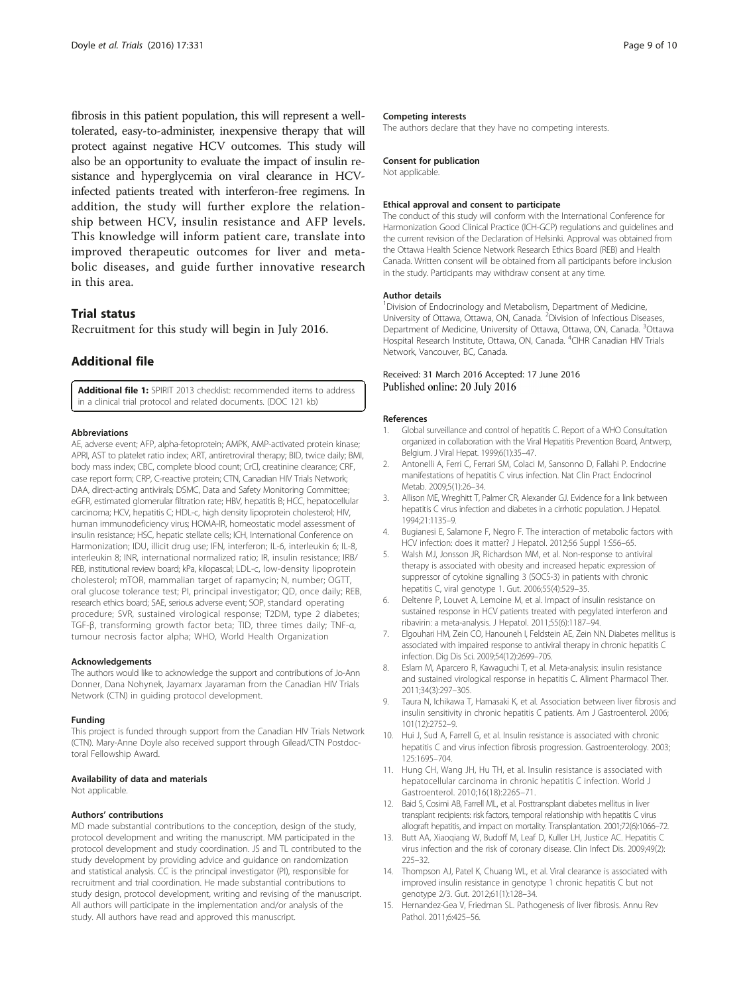<span id="page-8-0"></span>fibrosis in this patient population, this will represent a welltolerated, easy-to-administer, inexpensive therapy that will protect against negative HCV outcomes. This study will also be an opportunity to evaluate the impact of insulin resistance and hyperglycemia on viral clearance in HCVinfected patients treated with interferon-free regimens. In addition, the study will further explore the relationship between HCV, insulin resistance and AFP levels. This knowledge will inform patient care, translate into improved therapeutic outcomes for liver and metabolic diseases, and guide further innovative research in this area.

#### Trial status

Recruitment for this study will begin in July 2016.

### Additional file

[Additional file 1:](dx.doi.org/10.1186/s13063-016-1454-6) SPIRIT 2013 checklist: recommended items to address in a clinical trial protocol and related documents. (DOC 121 kb)

#### Abbreviations

AE, adverse event; AFP, alpha-fetoprotein; AMPK, AMP-activated protein kinase; APRI, AST to platelet ratio index; ART, antiretroviral therapy; BID, twice daily; BMI, body mass index; CBC, complete blood count; CrCl, creatinine clearance; CRF, case report form; CRP, C-reactive protein; CTN, Canadian HIV Trials Network; DAA, direct-acting antivirals; DSMC, Data and Safety Monitoring Committee; eGFR, estimated glomerular filtration rate; HBV, hepatitis B; HCC, hepatocellular carcinoma; HCV, hepatitis C; HDL-c, high density lipoprotein cholesterol; HIV, human immunodeficiency virus; HOMA-IR, homeostatic model assessment of insulin resistance; HSC, hepatic stellate cells; ICH, International Conference on Harmonization; IDU, illicit drug use; IFN, interferon; IL-6, interleukin 6; IL-8, interleukin 8; INR, international normalized ratio; IR, insulin resistance; IRB/ REB, institutional review board; kPa, kilopascal; LDL-c, low-density lipoprotein cholesterol; mTOR, mammalian target of rapamycin; N, number; OGTT, oral glucose tolerance test; PI, principal investigator; QD, once daily; REB, research ethics board; SAE, serious adverse event; SOP, standard operating procedure; SVR, sustained virological response; T2DM, type 2 diabetes; TGF-β, transforming growth factor beta; TID, three times daily; TNF-α, tumour necrosis factor alpha; WHO, World Health Organization

#### Acknowledgements

The authors would like to acknowledge the support and contributions of Jo-Ann Donner, Dana Nohynek, Jayamarx Jayaraman from the Canadian HIV Trials Network (CTN) in guiding protocol development.

#### Funding

This project is funded through support from the Canadian HIV Trials Network (CTN). Mary-Anne Doyle also received support through Gilead/CTN Postdoctoral Fellowship Award.

#### Availability of data and materials

Not applicable.

#### Authors' contributions

MD made substantial contributions to the conception, design of the study, protocol development and writing the manuscript. MM participated in the protocol development and study coordination. JS and TL contributed to the study development by providing advice and guidance on randomization and statistical analysis. CC is the principal investigator (PI), responsible for recruitment and trial coordination. He made substantial contributions to study design, protocol development, writing and revising of the manuscript. All authors will participate in the implementation and/or analysis of the study. All authors have read and approved this manuscript.

#### Competing interests

The authors declare that they have no competing interests.

#### Consent for publication

Not applicable.

#### Ethical approval and consent to participate

The conduct of this study will conform with the International Conference for Harmonization Good Clinical Practice (ICH-GCP) regulations and guidelines and the current revision of the Declaration of Helsinki. Approval was obtained from the Ottawa Health Science Network Research Ethics Board (REB) and Health Canada. Written consent will be obtained from all participants before inclusion in the study. Participants may withdraw consent at any time.

#### Author details

<sup>1</sup> Division of Endocrinology and Metabolism, Department of Medicine, University of Ottawa, Ottawa, ON, Canada. <sup>2</sup> Division of Infectious Diseases, Department of Medicine, University of Ottawa, Ottawa, ON, Canada. <sup>3</sup>Ottawa Hospital Research Institute, Ottawa, ON, Canada. <sup>4</sup>CIHR Canadian HIV Trials Network, Vancouver, BC, Canada.

#### Received: 31 March 2016 Accepted: 17 June 2016 Published online: 20 July 2016

#### References

- 1. Global surveillance and control of hepatitis C. Report of a WHO Consultation organized in collaboration with the Viral Hepatitis Prevention Board, Antwerp, Belgium. J Viral Hepat. 1999;6(1):35–47.
- 2. Antonelli A, Ferri C, Ferrari SM, Colaci M, Sansonno D, Fallahi P. Endocrine manifestations of hepatitis C virus infection. Nat Clin Pract Endocrinol Metab. 2009;5(1):26–34.
- Allison ME, Wreghitt T, Palmer CR, Alexander GJ. Evidence for a link between hepatitis C virus infection and diabetes in a cirrhotic population. J Hepatol. 1994;21:1135–9.
- 4. Bugianesi E, Salamone F, Negro F. The interaction of metabolic factors with HCV infection: does it matter? J Hepatol. 2012;56 Suppl 1:S56–65.
- 5. Walsh MJ, Jonsson JR, Richardson MM, et al. Non-response to antiviral therapy is associated with obesity and increased hepatic expression of suppressor of cytokine signalling 3 (SOCS-3) in patients with chronic hepatitis C, viral genotype 1. Gut. 2006;55(4):529–35.
- 6. Deltenre P, Louvet A, Lemoine M, et al. Impact of insulin resistance on sustained response in HCV patients treated with pegylated interferon and ribavirin: a meta-analysis. J Hepatol. 2011;55(6):1187–94.
- 7. Elgouhari HM, Zein CO, Hanouneh I, Feldstein AE, Zein NN. Diabetes mellitus is associated with impaired response to antiviral therapy in chronic hepatitis C infection. Dig Dis Sci. 2009;54(12):2699–705.
- 8. Eslam M, Aparcero R, Kawaguchi T, et al. Meta-analysis: insulin resistance and sustained virological response in hepatitis C. Aliment Pharmacol Ther. 2011;34(3):297–305.
- 9. Taura N, Ichikawa T, Hamasaki K, et al. Association between liver fibrosis and insulin sensitivity in chronic hepatitis C patients. Am J Gastroenterol. 2006; 101(12):2752–9.
- 10. Hui J, Sud A, Farrell G, et al. Insulin resistance is associated with chronic hepatitis C and virus infection fibrosis progression. Gastroenterology. 2003; 125:1695–704.
- 11. Hung CH, Wang JH, Hu TH, et al. Insulin resistance is associated with hepatocellular carcinoma in chronic hepatitis C infection. World J Gastroenterol. 2010;16(18):2265–71.
- 12. Baid S, Cosimi AB, Farrell ML, et al. Posttransplant diabetes mellitus in liver transplant recipients: risk factors, temporal relationship with hepatitis C virus allograft hepatitis, and impact on mortality. Transplantation. 2001;72(6):1066–72.
- 13. Butt AA, Xiaoqiang W, Budoff M, Leaf D, Kuller LH, Justice AC. Hepatitis C virus infection and the risk of coronary disease. Clin Infect Dis. 2009;49(2): 225–32.
- 14. Thompson AJ, Patel K, Chuang WL, et al. Viral clearance is associated with improved insulin resistance in genotype 1 chronic hepatitis C but not genotype 2/3. Gut. 2012;61(1):128–34.
- 15. Hernandez-Gea V, Friedman SL. Pathogenesis of liver fibrosis. Annu Rev Pathol. 2011;6:425–56.